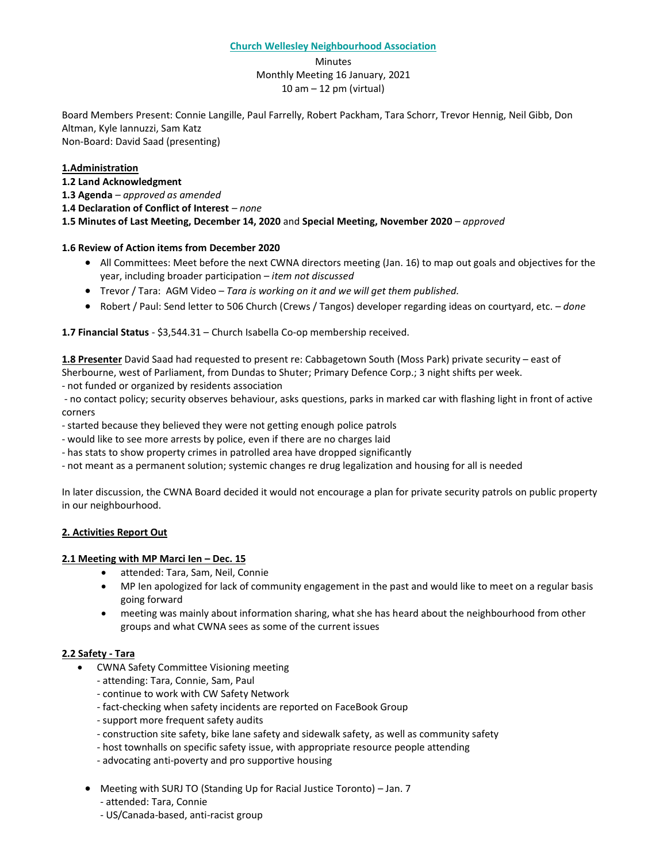#### **Church Wellesley Neighbourhood Association**

Minutes Monthly Meeting 16 January, 2021 10 am – 12 pm (virtual)

Board Members Present: Connie Langille, Paul Farrelly, Robert Packham, Tara Schorr, Trevor Hennig, Neil Gibb, Don Altman, Kyle Iannuzzi, Sam Katz Non-Board: David Saad (presenting)

### **1.Administration**

- **1.2 Land Acknowledgment**
- **1.3 Agenda** *– approved as amended*
- **1.4 Declaration of Conflict of Interest** *– none*

**1.5 Minutes of Last Meeting, December 14, 2020** and **Special Meeting, November 2020** *– approved*

#### **1.6 Review of Action items from December 2020**

- All Committees: Meet before the next CWNA directors meeting (Jan. 16) to map out goals and objectives for the year, including broader participation *– item not discussed*
- Trevor / Tara: AGM Video *– Tara is working on it and we will get them published.*
- Robert / Paul: Send letter to 506 Church (Crews / Tangos) developer regarding ideas on courtyard, etc. *– done*

#### **1.7 Financial Status** - \$3,544.31 – Church Isabella Co-op membership received.

**1.8 Presenter** David Saad had requested to present re: Cabbagetown South (Moss Park) private security – east of Sherbourne, west of Parliament, from Dundas to Shuter; Primary Defence Corp.; 3 night shifts per week.

- not funded or organized by residents association

- no contact policy; security observes behaviour, asks questions, parks in marked car with flashing light in front of active corners

- started because they believed they were not getting enough police patrols

- would like to see more arrests by police, even if there are no charges laid
- has stats to show property crimes in patrolled area have dropped significantly

- not meant as a permanent solution; systemic changes re drug legalization and housing for all is needed

In later discussion, the CWNA Board decided it would not encourage a plan for private security patrols on public property in our neighbourhood.

### **2. Activities Report Out**

### **2.1 Meeting with MP Marci Ien – Dec. 15**

- attended: Tara, Sam, Neil, Connie
- MP Ien apologized for lack of community engagement in the past and would like to meet on a regular basis going forward
- meeting was mainly about information sharing, what she has heard about the neighbourhood from other groups and what CWNA sees as some of the current issues

### **2.2 Safety - Tara**

- CWNA Safety Committee Visioning meeting
	- attending: Tara, Connie, Sam, Paul
	- continue to work with CW Safety Network
	- fact-checking when safety incidents are reported on FaceBook Group
	- support more frequent safety audits
	- construction site safety, bike lane safety and sidewalk safety, as well as community safety
	- host townhalls on specific safety issue, with appropriate resource people attending
	- advocating anti-poverty and pro supportive housing
	- Meeting with SURJ TO (Standing Up for Racial Justice Toronto) Jan. 7
		- attended: Tara, Connie
		- US/Canada-based, anti-racist group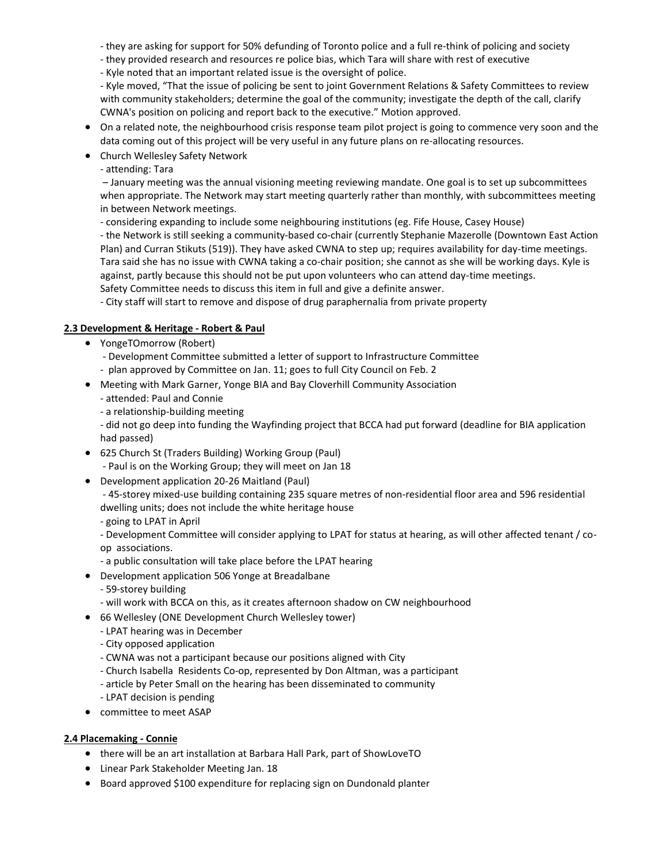- they are asking for support for 50% defunding of Toronto police and a full re-think of policing and society

- they provided research and resources re police bias, which Tara will share with rest of executive

- Kyle noted that an important related issue is the oversight of police.

- Kyle moved, "That the issue of policing be sent to joint Government Relations & Safety Committees to review with community stakeholders; determine the goal of the community; investigate the depth of the call, clarify CWNA's position on policing and report back to the executive." Motion approved.

- On a related note, the neighbourhood crisis response team pilot project is going to commence very soon and the data coming out of this project will be very useful in any future plans on re-allocating resources.
- Church Wellesley Safety Network
	- attending: Tara

– January meeting was the annual visioning meeting reviewing mandate. One goal is to set up subcommittees when appropriate. The Network may start meeting quarterly rather than monthly, with subcommittees meeting in between Network meetings.

- considering expanding to include some neighbouring institutions (eg. Fife House, Casey House)

- the Network is still seeking a community-based co-chair (currently Stephanie Mazerolle (Downtown East Action Plan) and Curran Stikuts (519)). They have asked CWNA to step up; requires availability for day-time meetings. Tara said she has no issue with CWNA taking a co-chair position; she cannot as she will be working days. Kyle is against, partly because this should not be put upon volunteers who can attend day-time meetings. Safety Committee needs to discuss this item in full and give a definite answer.

- City staff will start to remove and dispose of drug paraphernalia from private property

## **2.3 Development & Heritage - Robert & Paul**

- YongeTOmorrow (Robert)
	- Development Committee submitted a letter of support to Infrastructure Committee
	- plan approved by Committee on Jan. 11; goes to full City Council on Feb. 2
- Meeting with Mark Garner, Yonge BIA and Bay Cloverhill Community Association
	- attended: Paul and Connie
	- a relationship-building meeting

- did not go deep into funding the Wayfinding project that BCCA had put forward (deadline for BIA application had passed)

- 625 Church St (Traders Building) Working Group (Paul) - Paul is on the Working Group; they will meet on Jan 18
- Development application 20-26 Maitland (Paul)

- 45-storey mixed-use building containing 235 square metres of non-residential floor area and 596 residential dwelling units; does not include the white heritage house

- going to LPAT in April

- Development Committee will consider applying to LPAT for status at hearing, as will other affected tenant / coop associations.

- a public consultation will take place before the LPAT hearing
- Development application 506 Yonge at Breadalbane
	- 59-storey building
	- will work with BCCA on this, as it creates afternoon shadow on CW neighbourhood
- 66 Wellesley (ONE Development Church Wellesley tower)
	- LPAT hearing was in December
	- City opposed application
	- CWNA was not a participant because our positions aligned with City
	- Church Isabella Residents Co-op, represented by Don Altman, was a participant
	- article by Peter Small on the hearing has been disseminated to community
	- LPAT decision is pending
- committee to meet ASAP

### **2.4 Placemaking - Connie**

- there will be an art installation at Barbara Hall Park, part of ShowLoveTO
- Linear Park Stakeholder Meeting Jan. 18
- Board approved \$100 expenditure for replacing sign on Dundonald planter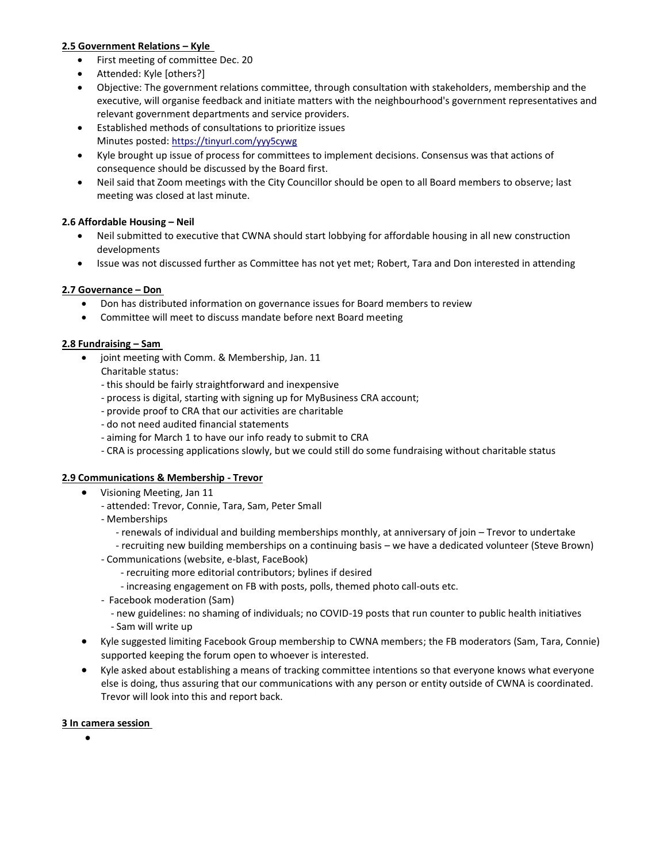## **2.5 Government Relations – Kyle**

- First meeting of committee Dec. 20
- Attended: Kyle [others?]
- Objective: The government relations committee, through consultation with stakeholders, membership and the executive, will organise feedback and initiate matters with the neighbourhood's government representatives and relevant government departments and service providers.
- Established methods of consultations to prioritize issues Minutes posted: <https://tinyurl.com/yyy5cywg>
- Kyle brought up issue of process for committees to implement decisions. Consensus was that actions of consequence should be discussed by the Board first.
- Neil said that Zoom meetings with the City Councillor should be open to all Board members to observe; last meeting was closed at last minute.

# **2.6 Affordable Housing – Neil**

- Neil submitted to executive that CWNA should start lobbying for affordable housing in all new construction developments
- Issue was not discussed further as Committee has not yet met; Robert, Tara and Don interested in attending

# **2.7 Governance – Don**

- Don has distributed information on governance issues for Board members to review
- Committee will meet to discuss mandate before next Board meeting

# **2.8 Fundraising – Sam**

- joint meeting with Comm. & Membership, Jan. 11
	- Charitable status:
	- this should be fairly straightforward and inexpensive
	- process is digital, starting with signing up for MyBusiness CRA account;
	- provide proof to CRA that our activities are charitable
	- do not need audited financial statements
	- aiming for March 1 to have our info ready to submit to CRA
	- CRA is processing applications slowly, but we could still do some fundraising without charitable status

# **2.9 Communications & Membership - Trevor**

- Visioning Meeting, Jan 11
	- attended: Trevor, Connie, Tara, Sam, Peter Small
	- Memberships
		- renewals of individual and building memberships monthly, at anniversary of join Trevor to undertake
		- recruiting new building memberships on a continuing basis we have a dedicated volunteer (Steve Brown)
	- Communications (website, e-blast, FaceBook)
		- recruiting more editorial contributors; bylines if desired
		- increasing engagement on FB with posts, polls, themed photo call-outs etc.
	- Facebook moderation (Sam)
		- new guidelines: no shaming of individuals; no COVID-19 posts that run counter to public health initiatives - Sam will write up
- Kyle suggested limiting Facebook Group membership to CWNA members; the FB moderators (Sam, Tara, Connie) supported keeping the forum open to whoever is interested.
- Kyle asked about establishing a means of tracking committee intentions so that everyone knows what everyone else is doing, thus assuring that our communications with any person or entity outside of CWNA is coordinated. Trevor will look into this and report back.

### **3 In camera session**

•